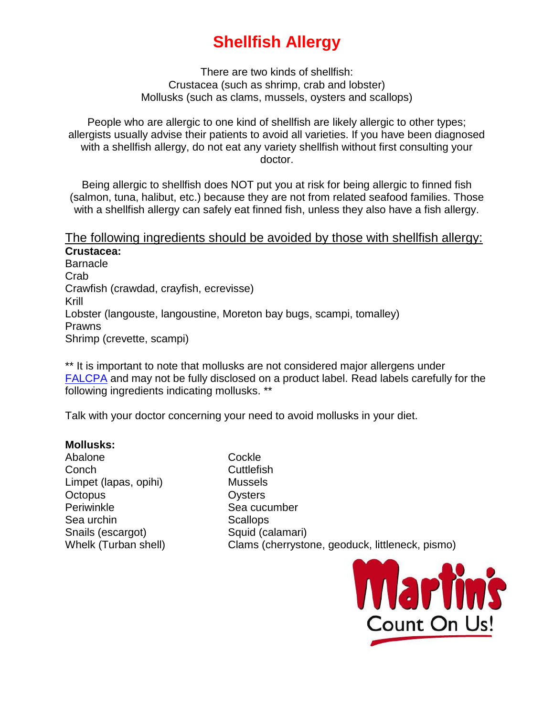## **Shellfish Allergy**

There are two kinds of shellfish: Crustacea (such as shrimp, crab and lobster) Mollusks (such as clams, mussels, oysters and scallops)

People who are allergic to one kind of shellfish are likely allergic to other types; allergists usually advise their patients to avoid all varieties. If you have been diagnosed with a shellfish allergy, do not eat any variety shellfish without first consulting your doctor.

Being allergic to shellfish does NOT put you at risk for being allergic to finned fish (salmon, tuna, halibut, etc.) because they are not from related seafood families. Those with a shellfish allergy can safely eat finned fish, unless they also have a fish allergy.

## The following ingredients should be avoided by those with shellfish allergy: **Crustacea:**

**Barnacle** Crab Crawfish (crawdad, crayfish, ecrevisse) Krill Lobster (langouste, langoustine, Moreton bay bugs, scampi, tomalley) Prawns Shrimp (crevette, scampi)

\*\* It is important to note that mollusks are not considered major allergens under [FALCPA](http://www.foodallergy.org/laws-and-regulations/falcpa) and may not be fully disclosed on a product label. Read labels carefully for the following ingredients indicating mollusks. \*\*

Talk with your doctor concerning your need to avoid mollusks in your diet.

## **Mollusks:**

Abalone Cockle Conch Cuttlefish Limpet (lapas, opihi) Mussels Octopus **Oysters** Periwinkle Sea cucumber Sea urchin Scallops Snails (escargot) Squid (calamari)

Whelk (Turban shell) Clams (cherrystone, geoduck, littleneck, pismo)